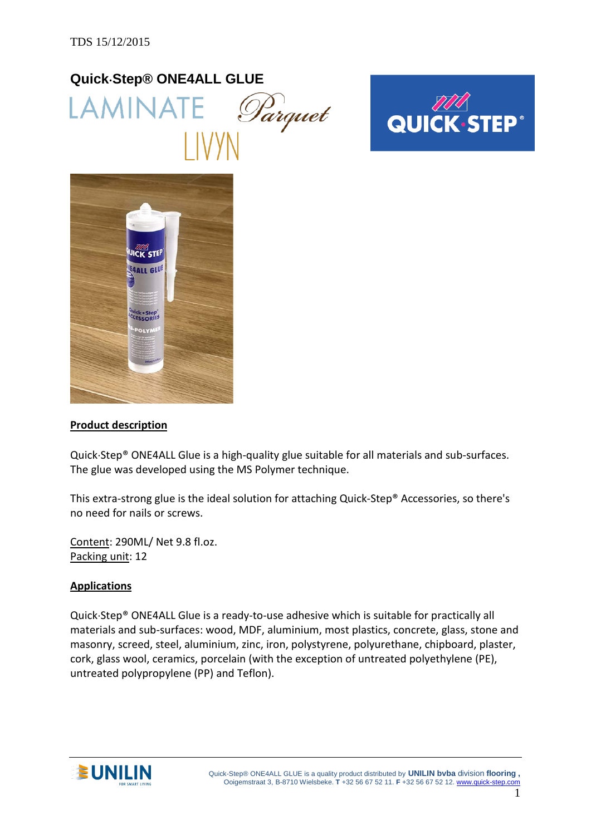# **Quick**⋅**Step® ONE4ALL GLUE** LAMINATE *Parquet*





#### **Product description**

Quick⋅Step® ONE4ALL Glue is a high-quality glue suitable for all materials and sub-surfaces. The glue was developed using the MS Polymer technique.

This extra-strong glue is the ideal solution for attaching Quick-Step® Accessories, so there's no need for nails or screws.

Content: 290ML/ Net 9.8 fl.oz. Packing unit: 12

#### **Applications**

Quick⋅Step® ONE4ALL Glue is a ready-to-use adhesive which is suitable for practically all materials and sub-surfaces: wood, MDF, aluminium, most plastics, concrete, glass, stone and masonry, screed, steel, aluminium, zinc, iron, polystyrene, polyurethane, chipboard, plaster, cork, glass wool, ceramics, porcelain (with the exception of untreated polyethylene (PE), untreated polypropylene (PP) and Teflon).

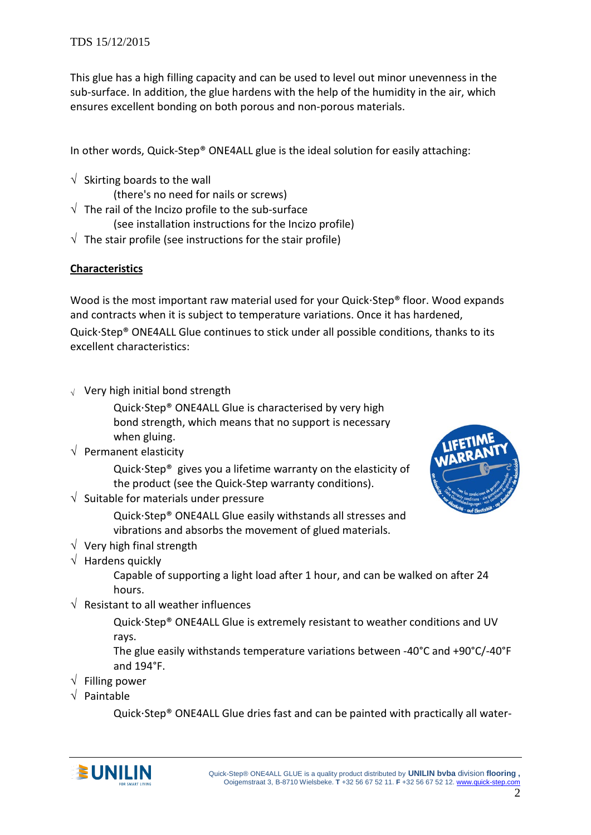This glue has a high filling capacity and can be used to level out minor unevenness in the sub-surface. In addition, the glue hardens with the help of the humidity in the air, which ensures excellent bonding on both porous and non-porous materials.

In other words, Quick-Step® ONE4ALL glue is the ideal solution for easily attaching:

- $\sqrt{\ }$  Skirting boards to the wall
	- (there's no need for nails or screws)
- $\sqrt{\ }$  The rail of the Incizo profile to the sub-surface (see installation instructions for the Incizo profile)
- $\sqrt{\ }$  The stair profile (see instructions for the stair profile)

## **Characteristics**

Wood is the most important raw material used for your Quick⋅Step® floor. Wood expands and contracts when it is subject to temperature variations. Once it has hardened, Quick⋅Step® ONE4ALL Glue continues to stick under all possible conditions, thanks to its excellent characteristics:

<sup>√</sup> Very high initial bond strength

Quick⋅Step® ONE4ALL Glue is characterised by very high bond strength, which means that no support is necessary when gluing.

 $\sqrt{ }$  Permanent elasticity

Quick⋅Step® gives you a lifetime warranty on the elasticity of the product (see the Quick-Step warranty conditions).

 $\sqrt{ }$  Suitable for materials under pressure

Quick⋅Step® ONE4ALL Glue easily withstands all stresses and vibrations and absorbs the movement of glued materials.

- $\sqrt{\phantom{a}}$  Very high final strength
- $\sqrt{\phantom{a}}$  Hardens quickly

Capable of supporting a light load after 1 hour, and can be walked on after 24 hours.

 $\sqrt{ }$  Resistant to all weather influences

Quick⋅Step® ONE4ALL Glue is extremely resistant to weather conditions and UV rays.

The glue easily withstands temperature variations between -40°C and +90°C/-40°F and 194°F.

- √ Filling power
- √ Paintable

Quick⋅Step® ONE4ALL Glue dries fast and can be painted with practically all water-



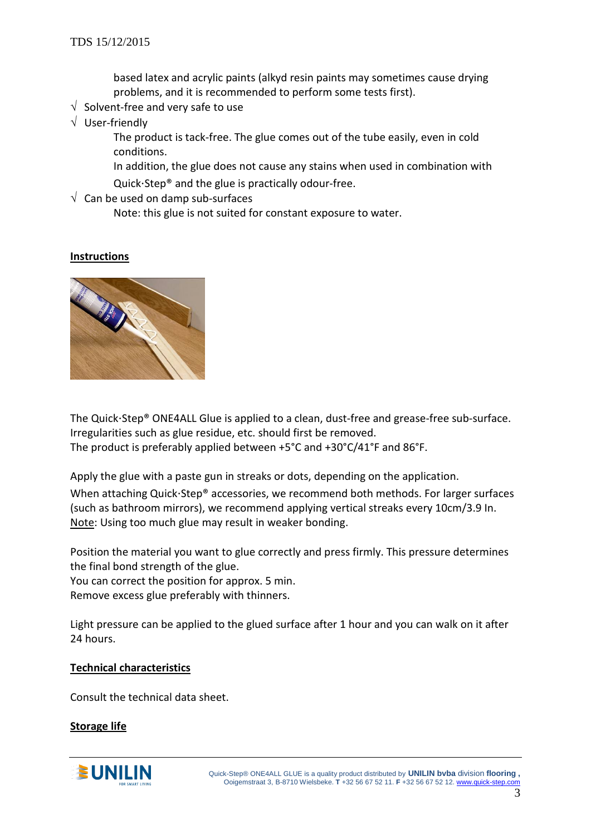based latex and acrylic paints (alkyd resin paints may sometimes cause drying problems, and it is recommended to perform some tests first).

- $\sqrt{ }$  Solvent-free and very safe to use
- √ User-friendly

The product is tack-free. The glue comes out of the tube easily, even in cold conditions.

In addition, the glue does not cause any stains when used in combination with Quick⋅Step® and the glue is practically odour-free.

 $\sqrt{ }$  Can be used on damp sub-surfaces

Note: this glue is not suited for constant exposure to water.

#### **Instructions**



The Quick⋅Step® ONE4ALL Glue is applied to a clean, dust-free and grease-free sub-surface. Irregularities such as glue residue, etc. should first be removed. The product is preferably applied between +5°C and +30°C/41°F and 86°F.

Apply the glue with a paste gun in streaks or dots, depending on the application.

When attaching Quick⋅Step® accessories, we recommend both methods. For larger surfaces (such as bathroom mirrors), we recommend applying vertical streaks every 10cm/3.9 In. Note: Using too much glue may result in weaker bonding.

Position the material you want to glue correctly and press firmly. This pressure determines the final bond strength of the glue.

You can correct the position for approx. 5 min.

Remove excess glue preferably with thinners.

Light pressure can be applied to the glued surface after 1 hour and you can walk on it after 24 hours.

#### **Technical characteristics**

Consult the technical data sheet.

#### **Storage life**

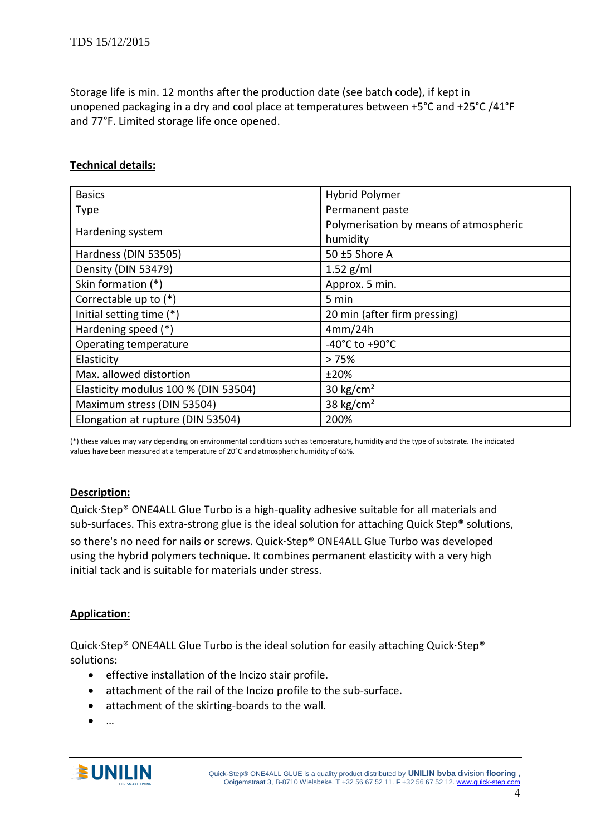Storage life is min. 12 months after the production date (see batch code), if kept in unopened packaging in a dry and cool place at temperatures between +5°C and +25°C /41°F and 77°F. Limited storage life once opened.

#### **Technical details:**

| <b>Hybrid Polymer</b>                  |
|----------------------------------------|
| Permanent paste                        |
| Polymerisation by means of atmospheric |
| humidity                               |
| 50 $±5$ Shore A                        |
| $1.52$ g/ml                            |
| Approx. 5 min.                         |
| 5 min                                  |
| 20 min (after firm pressing)           |
| 4mm/24h                                |
| -40°C to +90°C                         |
| >75%                                   |
| ±20%                                   |
| 30 kg/cm <sup>2</sup>                  |
| 38 kg/cm <sup>2</sup>                  |
| 200%                                   |
|                                        |

(\*) these values may vary depending on environmental conditions such as temperature, humidity and the type of substrate. The indicated values have been measured at a temperature of 20°C and atmospheric humidity of 65%.

#### **Description:**

Quick⋅Step® ONE4ALL Glue Turbo is a high-quality adhesive suitable for all materials and sub-surfaces. This extra-strong glue is the ideal solution for attaching Quick Step® solutions, so there's no need for nails or screws. Quick⋅Step® ONE4ALL Glue Turbo was developed using the hybrid polymers technique. It combines permanent elasticity with a very high initial tack and is suitable for materials under stress.

#### **Application:**

Quick⋅Step® ONE4ALL Glue Turbo is the ideal solution for easily attaching Quick⋅Step® solutions:

- effective installation of the Incizo stair profile.
- attachment of the rail of the Incizo profile to the sub-surface.
- attachment of the skirting-boards to the wall.
- …

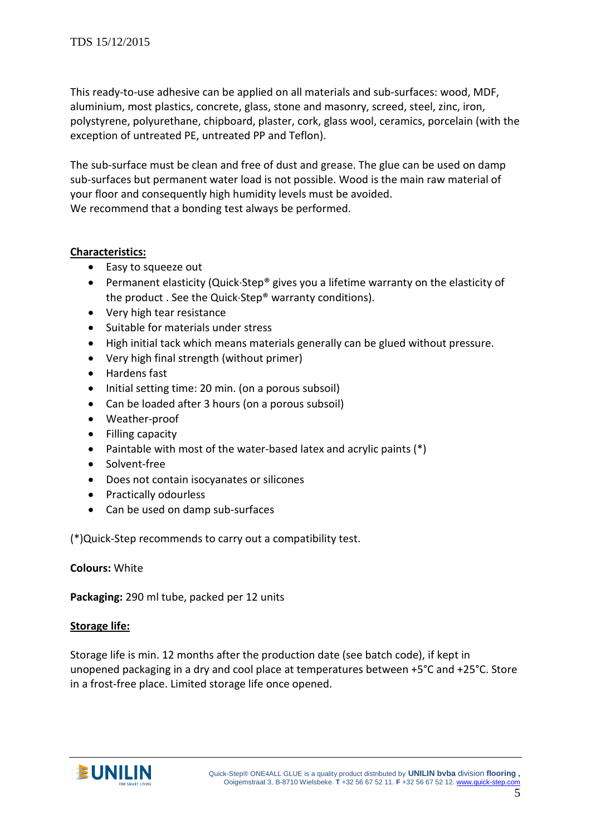This ready-to-use adhesive can be applied on all materials and sub-surfaces: wood, MDF, aluminium, most plastics, concrete, glass, stone and masonry, screed, steel, zinc, iron, polystyrene, polyurethane, chipboard, plaster, cork, glass wool, ceramics, porcelain (with the exception of untreated PE, untreated PP and Teflon).

The sub-surface must be clean and free of dust and grease. The glue can be used on damp sub-surfaces but permanent water load is not possible. Wood is the main raw material of your floor and consequently high humidity levels must be avoided. We recommend that a bonding test always be performed.

#### **Characteristics:**

- Easy to squeeze out
- Permanent elasticity (Quick⋅Step® gives you a lifetime warranty on the elasticity of the product . See the Quick⋅Step® warranty conditions).
- Very high tear resistance
- Suitable for materials under stress
- High initial tack which means materials generally can be glued without pressure.
- Very high final strength (without primer)
- Hardens fast
- Initial setting time: 20 min. (on a porous subsoil)
- Can be loaded after 3 hours (on a porous subsoil)
- Weather-proof
- Filling capacity
- Paintable with most of the water-based latex and acrylic paints (\*)
- Solvent-free
- Does not contain isocyanates or silicones
- Practically odourless
- Can be used on damp sub-surfaces

(\*)Quick-Step recommends to carry out a compatibility test.

### **Colours:** White

**Packaging:** 290 ml tube, packed per 12 units

#### **Storage life:**

Storage life is min. 12 months after the production date (see batch code), if kept in unopened packaging in a dry and cool place at temperatures between +5°C and +25°C. Store in a frost-free place. Limited storage life once opened.